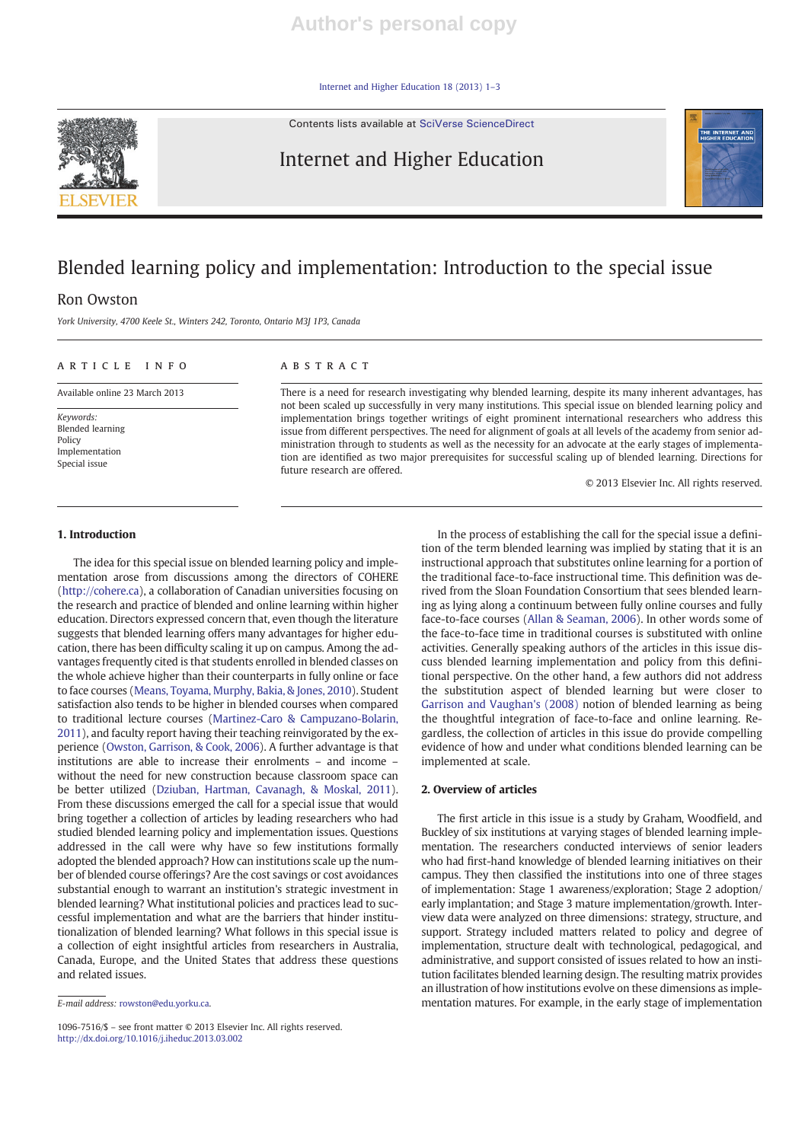Internet and Higher Education 18 (2013) 1–3

Contents lists available at SciVerse ScienceDirect



Internet and Higher Education



# Blended learning policy and implementation: Introduction to the special issue

# Ron Owston

York University, 4700 Keele St., Winters 242, Toronto, Ontario M3J 1P3, Canada

### article info abstract

Available online 23 March 2013

Keywords: Blended learning Policy Implementation Special issue

There is a need for research investigating why blended learning, despite its many inherent advantages, has not been scaled up successfully in very many institutions. This special issue on blended learning policy and implementation brings together writings of eight prominent international researchers who address this issue from different perspectives. The need for alignment of goals at all levels of the academy from senior administration through to students as well as the necessity for an advocate at the early stages of implementation are identified as two major prerequisites for successful scaling up of blended learning. Directions for future research are offered.

© 2013 Elsevier Inc. All rights reserved.

# 1. Introduction

The idea for this special issue on blended learning policy and implementation arose from discussions among the directors of COHERE (http://cohere.ca), a collaboration of Canadian universities focusing on the research and practice of blended and online learning within higher education. Directors expressed concern that, even though the literature suggests that blended learning offers many advantages for higher education, there has been difficulty scaling it up on campus. Among the advantages frequently cited is that students enrolled in blended classes on the whole achieve higher than their counterparts in fully online or face to face courses (Means, Toyama, Murphy, Bakia, & Jones, 2010). Student satisfaction also tends to be higher in blended courses when compared to traditional lecture courses (Martinez-Caro & Campuzano-Bolarin, 2011), and faculty report having their teaching reinvigorated by the experience (Owston, Garrison, & Cook, 2006). A further advantage is that institutions are able to increase their enrolments – and income – without the need for new construction because classroom space can be better utilized (Dziuban, Hartman, Cavanagh, & Moskal, 2011). From these discussions emerged the call for a special issue that would bring together a collection of articles by leading researchers who had studied blended learning policy and implementation issues. Questions addressed in the call were why have so few institutions formally adopted the blended approach? How can institutions scale up the number of blended course offerings? Are the cost savings or cost avoidances substantial enough to warrant an institution's strategic investment in blended learning? What institutional policies and practices lead to successful implementation and what are the barriers that hinder institutionalization of blended learning? What follows in this special issue is a collection of eight insightful articles from researchers in Australia, Canada, Europe, and the United States that address these questions and related issues.

1096-7516/\$ – see front matter © 2013 Elsevier Inc. All rights reserved. http://dx.doi.org/10.1016/j.iheduc.2013.03.002

In the process of establishing the call for the special issue a definition of the term blended learning was implied by stating that it is an instructional approach that substitutes online learning for a portion of the traditional face-to-face instructional time. This definition was derived from the Sloan Foundation Consortium that sees blended learning as lying along a continuum between fully online courses and fully face-to-face courses (Allan & Seaman, 2006). In other words some of the face-to-face time in traditional courses is substituted with online activities. Generally speaking authors of the articles in this issue discuss blended learning implementation and policy from this definitional perspective. On the other hand, a few authors did not address the substitution aspect of blended learning but were closer to Garrison and Vaughan's (2008) notion of blended learning as being the thoughtful integration of face-to-face and online learning. Regardless, the collection of articles in this issue do provide compelling evidence of how and under what conditions blended learning can be implemented at scale.

# 2. Overview of articles

The first article in this issue is a study by Graham, Woodfield, and Buckley of six institutions at varying stages of blended learning implementation. The researchers conducted interviews of senior leaders who had first-hand knowledge of blended learning initiatives on their campus. They then classified the institutions into one of three stages of implementation: Stage 1 awareness/exploration; Stage 2 adoption/ early implantation; and Stage 3 mature implementation/growth. Interview data were analyzed on three dimensions: strategy, structure, and support. Strategy included matters related to policy and degree of implementation, structure dealt with technological, pedagogical, and administrative, and support consisted of issues related to how an institution facilitates blended learning design. The resulting matrix provides an illustration of how institutions evolve on these dimensions as implementation matures. For example, in the early stage of implementation

E-mail address: rowston@edu.yorku.ca.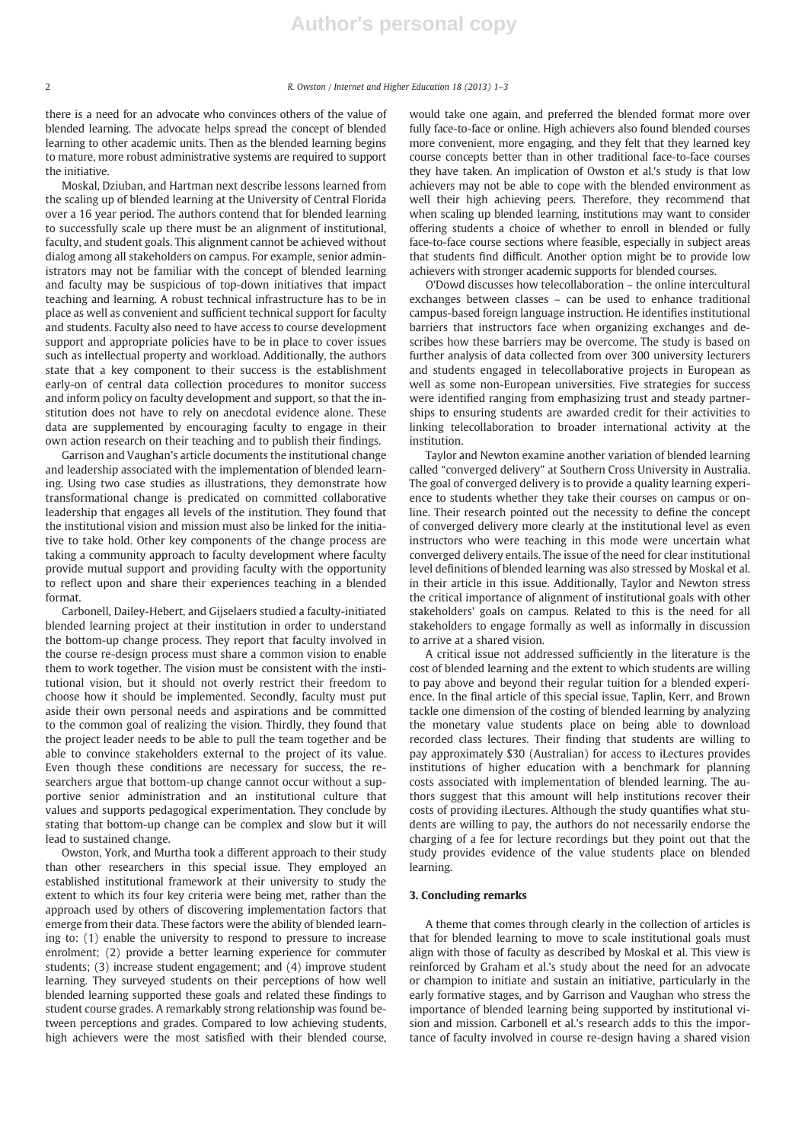there is a need for an advocate who convinces others of the value of blended learning. The advocate helps spread the concept of blended learning to other academic units. Then as the blended learning begins to mature, more robust administrative systems are required to support the initiative.

Moskal, Dziuban, and Hartman next describe lessons learned from the scaling up of blended learning at the University of Central Florida over a 16 year period. The authors contend that for blended learning to successfully scale up there must be an alignment of institutional, faculty, and student goals. This alignment cannot be achieved without dialog among all stakeholders on campus. For example, senior administrators may not be familiar with the concept of blended learning and faculty may be suspicious of top-down initiatives that impact teaching and learning. A robust technical infrastructure has to be in place as well as convenient and sufficient technical support for faculty and students. Faculty also need to have access to course development support and appropriate policies have to be in place to cover issues such as intellectual property and workload. Additionally, the authors state that a key component to their success is the establishment early-on of central data collection procedures to monitor success and inform policy on faculty development and support, so that the institution does not have to rely on anecdotal evidence alone. These data are supplemented by encouraging faculty to engage in their own action research on their teaching and to publish their findings.

Garrison and Vaughan's article documents the institutional change and leadership associated with the implementation of blended learning. Using two case studies as illustrations, they demonstrate how transformational change is predicated on committed collaborative leadership that engages all levels of the institution. They found that the institutional vision and mission must also be linked for the initiative to take hold. Other key components of the change process are taking a community approach to faculty development where faculty provide mutual support and providing faculty with the opportunity to reflect upon and share their experiences teaching in a blended format.

Carbonell, Dailey-Hebert, and Gijselaers studied a faculty-initiated blended learning project at their institution in order to understand the bottom-up change process. They report that faculty involved in the course re-design process must share a common vision to enable them to work together. The vision must be consistent with the institutional vision, but it should not overly restrict their freedom to choose how it should be implemented. Secondly, faculty must put aside their own personal needs and aspirations and be committed to the common goal of realizing the vision. Thirdly, they found that the project leader needs to be able to pull the team together and be able to convince stakeholders external to the project of its value. Even though these conditions are necessary for success, the researchers argue that bottom-up change cannot occur without a supportive senior administration and an institutional culture that values and supports pedagogical experimentation. They conclude by stating that bottom-up change can be complex and slow but it will lead to sustained change.

Owston, York, and Murtha took a different approach to their study than other researchers in this special issue. They employed an established institutional framework at their university to study the extent to which its four key criteria were being met, rather than the approach used by others of discovering implementation factors that emerge from their data. These factors were the ability of blended learning to: (1) enable the university to respond to pressure to increase enrolment; (2) provide a better learning experience for commuter students; (3) increase student engagement; and (4) improve student learning. They surveyed students on their perceptions of how well blended learning supported these goals and related these findings to student course grades. A remarkably strong relationship was found between perceptions and grades. Compared to low achieving students, high achievers were the most satisfied with their blended course,

would take one again, and preferred the blended format more over fully face-to-face or online. High achievers also found blended courses more convenient, more engaging, and they felt that they learned key course concepts better than in other traditional face-to-face courses they have taken. An implication of Owston et al.'s study is that low achievers may not be able to cope with the blended environment as well their high achieving peers. Therefore, they recommend that when scaling up blended learning, institutions may want to consider offering students a choice of whether to enroll in blended or fully face-to-face course sections where feasible, especially in subject areas that students find difficult. Another option might be to provide low achievers with stronger academic supports for blended courses.

O'Dowd discusses how telecollaboration – the online intercultural exchanges between classes – can be used to enhance traditional campus-based foreign language instruction. He identifies institutional barriers that instructors face when organizing exchanges and describes how these barriers may be overcome. The study is based on further analysis of data collected from over 300 university lecturers and students engaged in telecollaborative projects in European as well as some non-European universities. Five strategies for success were identified ranging from emphasizing trust and steady partnerships to ensuring students are awarded credit for their activities to linking telecollaboration to broader international activity at the institution.

Taylor and Newton examine another variation of blended learning called "converged delivery" at Southern Cross University in Australia. The goal of converged delivery is to provide a quality learning experience to students whether they take their courses on campus or online. Their research pointed out the necessity to define the concept of converged delivery more clearly at the institutional level as even instructors who were teaching in this mode were uncertain what converged delivery entails. The issue of the need for clear institutional level definitions of blended learning was also stressed by Moskal et al. in their article in this issue. Additionally, Taylor and Newton stress the critical importance of alignment of institutional goals with other stakeholders' goals on campus. Related to this is the need for all stakeholders to engage formally as well as informally in discussion to arrive at a shared vision.

A critical issue not addressed sufficiently in the literature is the cost of blended learning and the extent to which students are willing to pay above and beyond their regular tuition for a blended experience. In the final article of this special issue, Taplin, Kerr, and Brown tackle one dimension of the costing of blended learning by analyzing the monetary value students place on being able to download recorded class lectures. Their finding that students are willing to pay approximately \$30 (Australian) for access to iLectures provides institutions of higher education with a benchmark for planning costs associated with implementation of blended learning. The authors suggest that this amount will help institutions recover their costs of providing iLectures. Although the study quantifies what students are willing to pay, the authors do not necessarily endorse the charging of a fee for lecture recordings but they point out that the study provides evidence of the value students place on blended learning.

# 3. Concluding remarks

A theme that comes through clearly in the collection of articles is that for blended learning to move to scale institutional goals must align with those of faculty as described by Moskal et al. This view is reinforced by Graham et al.'s study about the need for an advocate or champion to initiate and sustain an initiative, particularly in the early formative stages, and by Garrison and Vaughan who stress the importance of blended learning being supported by institutional vision and mission. Carbonell et al.'s research adds to this the importance of faculty involved in course re-design having a shared vision